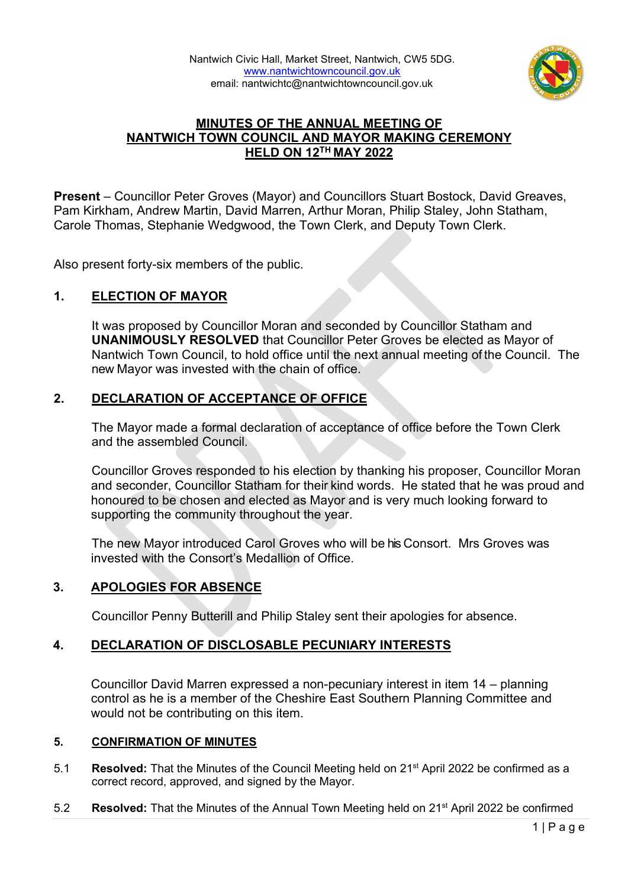

# **MINUTES OF THE ANNUAL MEETING OF NANTWICH TOWN COUNCIL AND MAYOR MAKING CEREMONY HELD ON 12TH MAY 2022**

**Present** – Councillor Peter Groves (Mayor) and Councillors Stuart Bostock, David Greaves, Pam Kirkham, Andrew Martin, David Marren, Arthur Moran, Philip Staley, John Statham, Carole Thomas, Stephanie Wedgwood, the Town Clerk, and Deputy Town Clerk.

Also present forty-six members of the public.

# **1. ELECTION OF MAYOR**

It was proposed by Councillor Moran and seconded by Councillor Statham and **UNANIMOUSLY RESOLVED** that Councillor Peter Groves be elected as Mayor of Nantwich Town Council, to hold office until the next annual meeting of the Council. The new Mayor was invested with the chain of office.

# **2. DECLARATION OF ACCEPTANCE OF OFFICE**

The Mayor made a formal declaration of acceptance of office before the Town Clerk and the assembled Council.

Councillor Groves responded to his election by thanking his proposer, Councillor Moran and seconder, Councillor Statham for their kind words. He stated that he was proud and honoured to be chosen and elected as Mayor and is very much looking forward to supporting the community throughout the year.

The new Mayor introduced Carol Groves who will be his Consort. Mrs Groves was invested with the Consort's Medallion of Office.

# **3. APOLOGIES FOR ABSENCE**

Councillor Penny Butterill and Philip Staley sent their apologies for absence.

# **4. DECLARATION OF DISCLOSABLE PECUNIARY INTERESTS**

Councillor David Marren expressed a non-pecuniary interest in item 14 – planning control as he is a member of the Cheshire East Southern Planning Committee and would not be contributing on this item.

#### **5. CONFIRMATION OF MINUTES**

- 5.1 **Resolved:** That the Minutes of the Council Meeting held on 21st April 2022 be confirmed as a correct record, approved, and signed by the Mayor.
- 5.2 **Resolved:** That the Minutes of the Annual Town Meeting held on 21st April 2022 be confirmed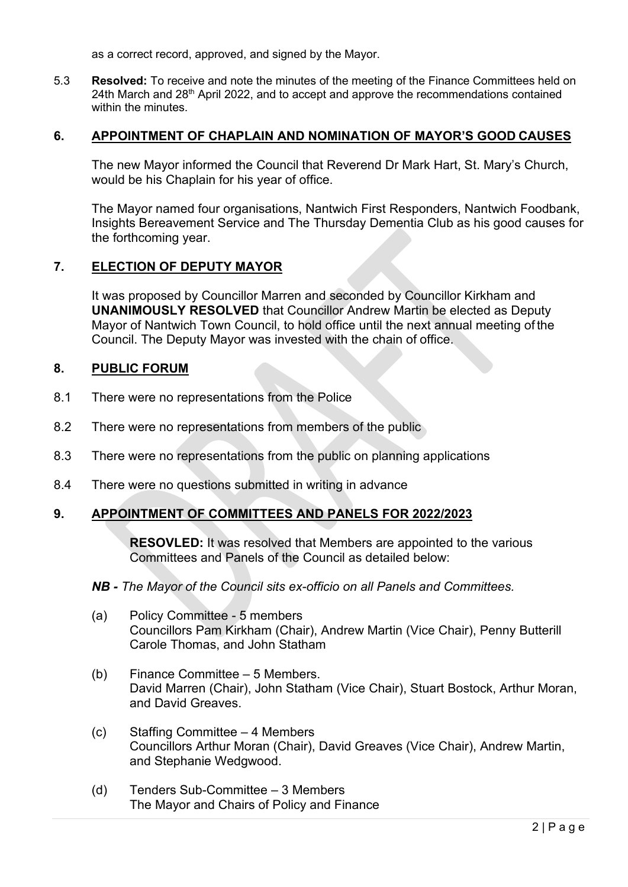as a correct record, approved, and signed by the Mayor.

5.3 **Resolved:** To receive and note the minutes of the meeting of the Finance Committees held on 24th March and  $28<sup>th</sup>$  April 2022, and to accept and approve the recommendations contained within the minutes

## **6. APPOINTMENT OF CHAPLAIN AND NOMINATION OF MAYOR'S GOOD CAUSES**

The new Mayor informed the Council that Reverend Dr Mark Hart, St. Mary's Church, would be his Chaplain for his year of office.

The Mayor named four organisations, Nantwich First Responders, Nantwich Foodbank, Insights Bereavement Service and The Thursday Dementia Club as his good causes for the forthcoming year.

# **7. ELECTION OF DEPUTY MAYOR**

It was proposed by Councillor Marren and seconded by Councillor Kirkham and **UNANIMOUSLY RESOLVED** that Councillor Andrew Martin be elected as Deputy Mayor of Nantwich Town Council, to hold office until the next annual meeting of the Council. The Deputy Mayor was invested with the chain of office.

## **8. PUBLIC FORUM**

- 8.1 There were no representations from the Police
- 8.2 There were no representations from members of the public
- 8.3 There were no representations from the public on planning applications
- 8.4 There were no questions submitted in writing in advance

## **9. APPOINTMENT OF COMMITTEES AND PANELS FOR 2022/2023**

**RESOVLED:** It was resolved that Members are appointed to the various Committees and Panels of the Council as detailed below:

#### *NB - The Mayor of the Council sits ex-officio on all Panels and Committees.*

- (a) Policy Committee 5 members Councillors Pam Kirkham (Chair), Andrew Martin (Vice Chair), Penny Butterill Carole Thomas, and John Statham
- (b) Finance Committee 5 Members. David Marren (Chair), John Statham (Vice Chair), Stuart Bostock, Arthur Moran, and David Greaves.
- (c) Staffing Committee 4 Members Councillors Arthur Moran (Chair), David Greaves (Vice Chair), Andrew Martin, and Stephanie Wedgwood.
- (d) Tenders Sub-Committee 3 Members The Mayor and Chairs of Policy and Finance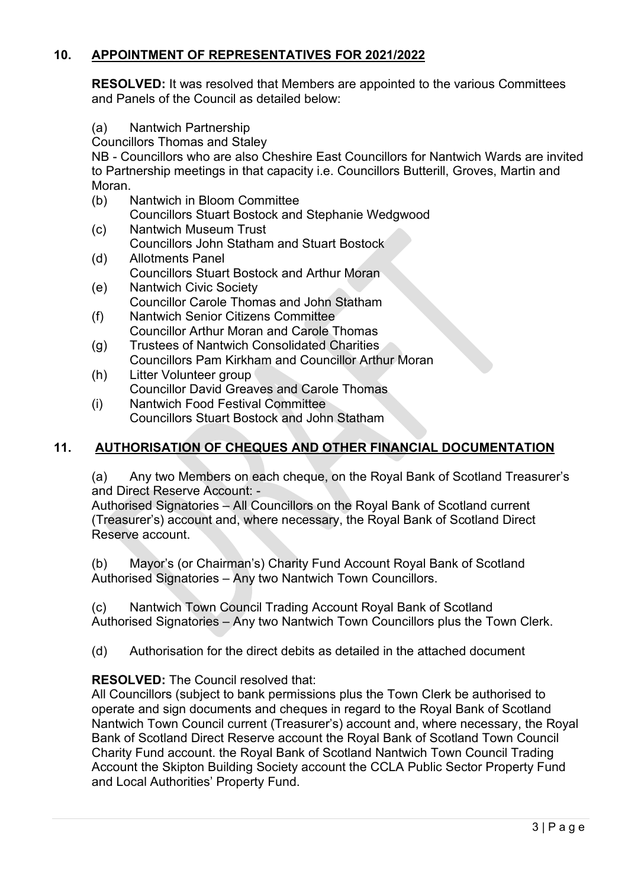# **10. APPOINTMENT OF REPRESENTATIVES FOR 2021/2022**

**RESOLVED:** It was resolved that Members are appointed to the various Committees and Panels of the Council as detailed below:

(a) Nantwich Partnership

Councillors Thomas and Staley

NB - Councillors who are also Cheshire East Councillors for Nantwich Wards are invited to Partnership meetings in that capacity i.e. Councillors Butterill, Groves, Martin and Moran.

- (b) Nantwich in Bloom Committee Councillors Stuart Bostock and Stephanie Wedgwood
- (c) Nantwich Museum Trust Councillors John Statham and Stuart Bostock<br>(d) Allotments Panel
- Allotments Panel Councillors Stuart Bostock and Arthur Moran
- (e) Nantwich Civic Society Councillor Carole Thomas and John Statham
- (f) Nantwich Senior Citizens Committee Councillor Arthur Moran and Carole Thomas
- (g) Trustees of Nantwich Consolidated Charities Councillors Pam Kirkham and Councillor Arthur Moran<br>(h) Litter Volunteer group
- Litter Volunteer group Councillor David Greaves and Carole Thomas
- (i) Nantwich Food Festival Committee Councillors Stuart Bostock and John Statham

# **11. AUTHORISATION OF CHEQUES AND OTHER FINANCIAL DOCUMENTATION**

(a) Any two Members on each cheque, on the Royal Bank of Scotland Treasurer's and Direct Reserve Account: -

Authorised Signatories – All Councillors on the Royal Bank of Scotland current (Treasurer's) account and, where necessary, the Royal Bank of Scotland Direct Reserve account.

(b) Mayor's (or Chairman's) Charity Fund Account Royal Bank of Scotland Authorised Signatories – Any two Nantwich Town Councillors.

(c) Nantwich Town Council Trading Account Royal Bank of Scotland Authorised Signatories – Any two Nantwich Town Councillors plus the Town Clerk.

(d) Authorisation for the direct debits as detailed in the attached document

# **RESOLVED:** The Council resolved that:

All Councillors (subject to bank permissions plus the Town Clerk be authorised to operate and sign documents and cheques in regard to the Royal Bank of Scotland Nantwich Town Council current (Treasurer's) account and, where necessary, the Royal Bank of Scotland Direct Reserve account the Royal Bank of Scotland Town Council Charity Fund account. the Royal Bank of Scotland Nantwich Town Council Trading Account the Skipton Building Society account the CCLA Public Sector Property Fund and Local Authorities' Property Fund.